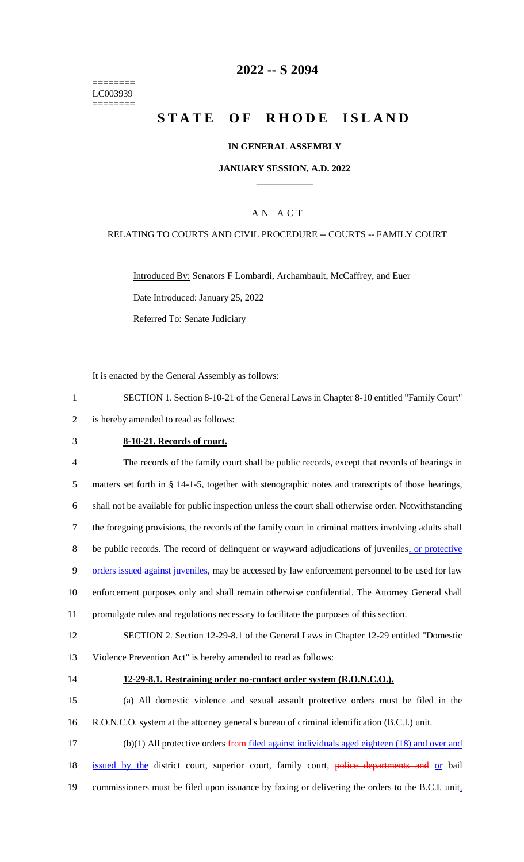======== LC003939 ========

# **2022 -- S 2094**

# **STATE OF RHODE ISLAND**

### **IN GENERAL ASSEMBLY**

#### **JANUARY SESSION, A.D. 2022 \_\_\_\_\_\_\_\_\_\_\_\_**

## A N A C T

### RELATING TO COURTS AND CIVIL PROCEDURE -- COURTS -- FAMILY COURT

Introduced By: Senators F Lombardi, Archambault, McCaffrey, and Euer Date Introduced: January 25, 2022 Referred To: Senate Judiciary

It is enacted by the General Assembly as follows:

1 SECTION 1. Section 8-10-21 of the General Laws in Chapter 8-10 entitled "Family Court" 2 is hereby amended to read as follows:

### 3 **8-10-21. Records of court.**

 The records of the family court shall be public records, except that records of hearings in matters set forth in § 14-1-5, together with stenographic notes and transcripts of those hearings, shall not be available for public inspection unless the court shall otherwise order. Notwithstanding the foregoing provisions, the records of the family court in criminal matters involving adults shall 8 be public records. The record of delinquent or wayward adjudications of juveniles, or protective 9 orders issued against juveniles, may be accessed by law enforcement personnel to be used for law enforcement purposes only and shall remain otherwise confidential. The Attorney General shall promulgate rules and regulations necessary to facilitate the purposes of this section.

12 SECTION 2. Section 12-29-8.1 of the General Laws in Chapter 12-29 entitled "Domestic 13 Violence Prevention Act" is hereby amended to read as follows:

## 14 **12-29-8.1. Restraining order no-contact order system (R.O.N.C.O.).**

15 (a) All domestic violence and sexual assault protective orders must be filed in the 16 R.O.N.C.O. system at the attorney general's bureau of criminal identification (B.C.I.) unit.

17 (b)(1) All protective orders from filed against individuals aged eighteen (18) and over and 18 issued by the district court, superior court, family court, police departments and or bail 19 commissioners must be filed upon issuance by faxing or delivering the orders to the B.C.I. unit,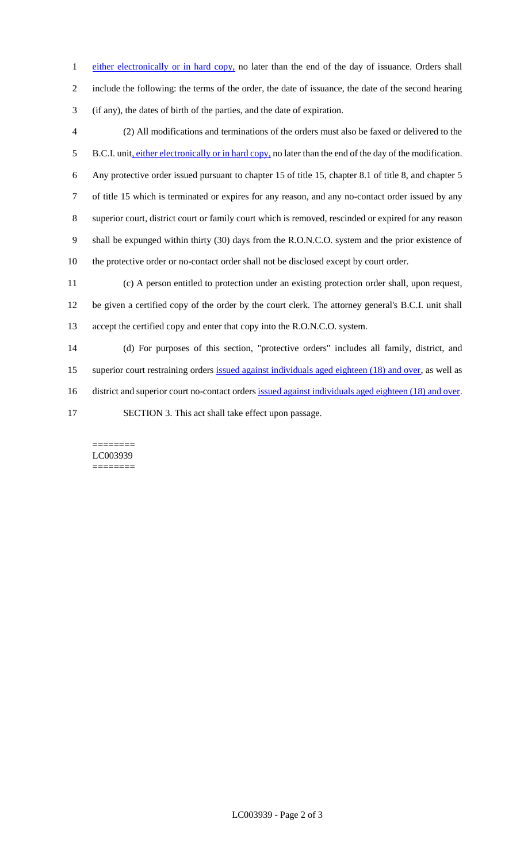1 either electronically or in hard copy, no later than the end of the day of issuance. Orders shall include the following: the terms of the order, the date of issuance, the date of the second hearing (if any), the dates of birth of the parties, and the date of expiration.

 (2) All modifications and terminations of the orders must also be faxed or delivered to the 5 B.C.I. unit, either electronically or in hard copy, no later than the end of the day of the modification. Any protective order issued pursuant to chapter 15 of title 15, chapter 8.1 of title 8, and chapter 5 of title 15 which is terminated or expires for any reason, and any no-contact order issued by any superior court, district court or family court which is removed, rescinded or expired for any reason shall be expunged within thirty (30) days from the R.O.N.C.O. system and the prior existence of the protective order or no-contact order shall not be disclosed except by court order. (c) A person entitled to protection under an existing protection order shall, upon request,

 be given a certified copy of the order by the court clerk. The attorney general's B.C.I. unit shall accept the certified copy and enter that copy into the R.O.N.C.O. system.

 (d) For purposes of this section, "protective orders" includes all family, district, and superior court restraining orders issued against individuals aged eighteen (18) and over, as well as 16 district and superior court no-contact orders issued against individuals aged eighteen (18) and over. SECTION 3. This act shall take effect upon passage.

======== LC003939 ========